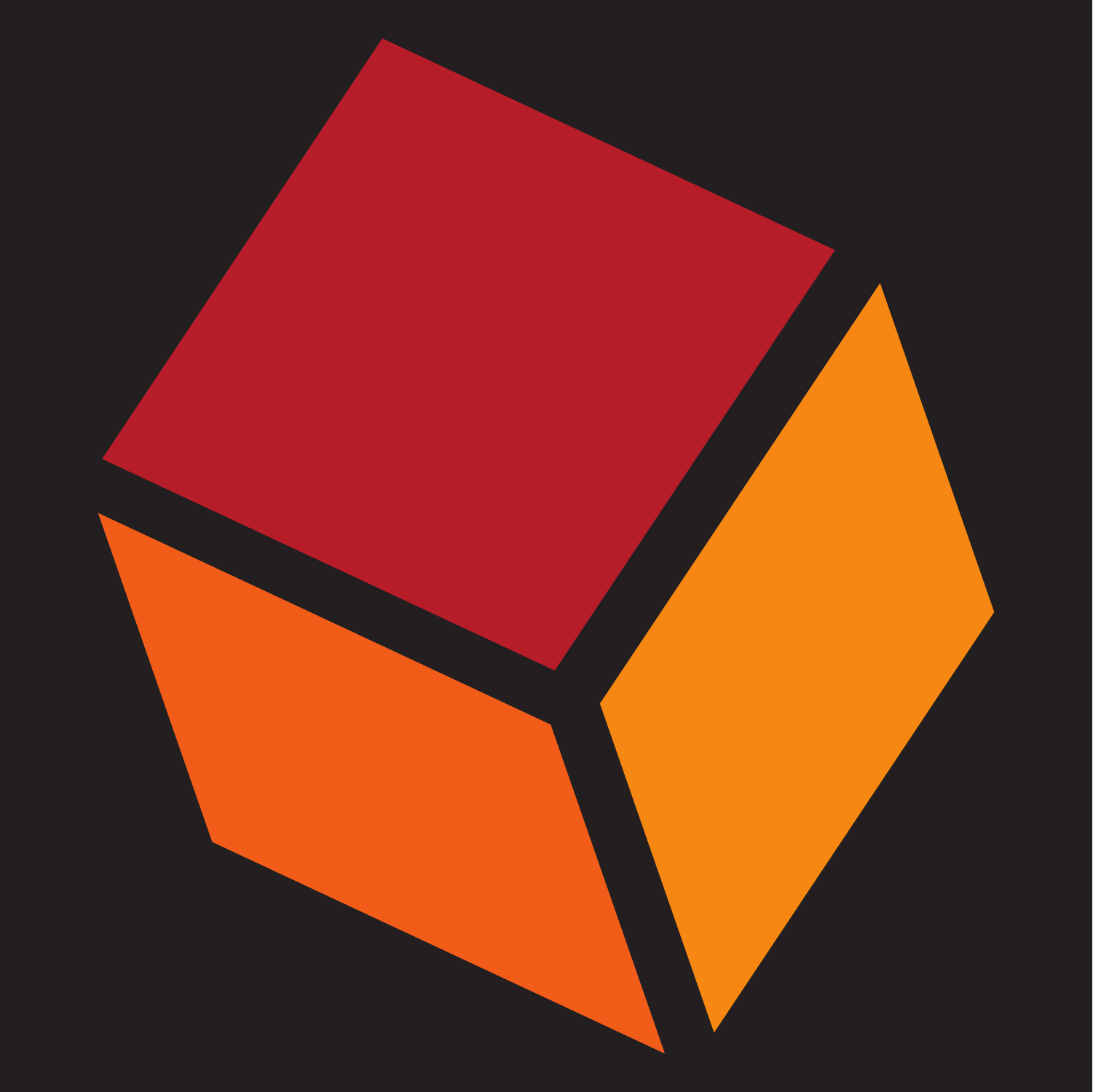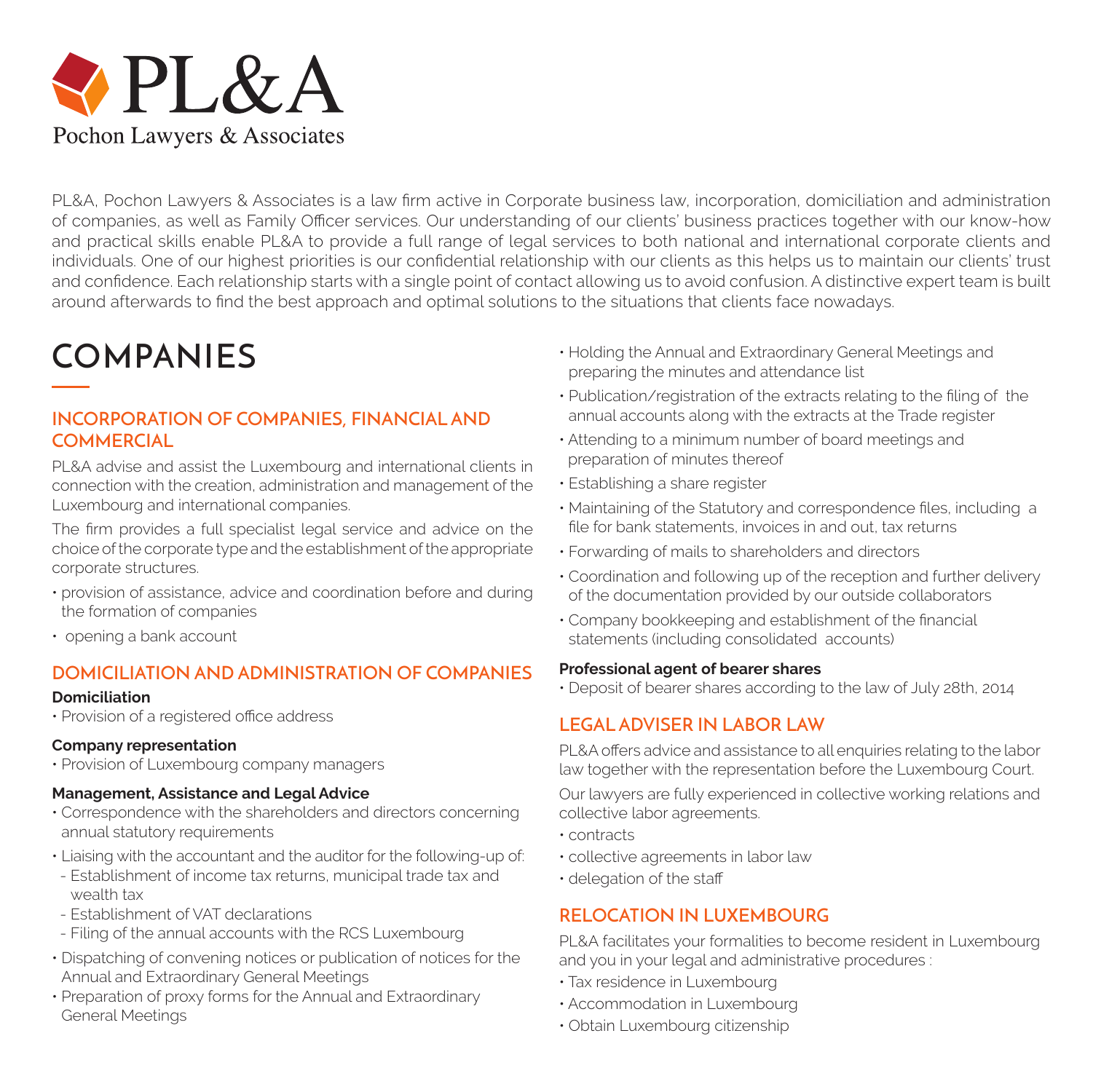

PL&A, Pochon Lawyers & Associates is a law firm active in Corporate business law, incorporation, domiciliation and administration of companies, as well as Family Officer services. Our understanding of our clients' business practices together with our know-how and practical skills enable PL&A to provide a full range of legal services to both national and international corporate clients and individuals. One of our highest priorities is our confidential relationship with our clients as this helps us to maintain our clients' trust and confidence. Each relationship starts with a single point of contact allowing us to avoid confusion. A distinctive expert team is built around afterwards to find the best approach and optimal solutions to the situations that clients face nowadays.

## **COMPANIES**

## **INCORPORATION OF COMPANIES, FINANCIAL AND COMMERCIAL**

PL&A advise and assist the Luxembourg and international clients in connection with the creation, administration and management of the Luxembourg and international companies.

The firm provides a full specialist legal service and advice on the choice of the corporate type and the establishment of the appropriate corporate structures.

- provision of assistance, advice and coordination before and during the formation of companies
- opening a bank account

### **DOMICILIATION AND ADMINISTRATION OF COMPANIES**

#### **Domiciliation**

• Provision of a registered office address

#### **Company representation**

• Provision of Luxembourg company managers

#### **Management, Assistance and Legal Advice**

- Correspondence with the shareholders and directors concerning annual statutory requirements
- Liaising with the accountant and the auditor for the following-up of:
- Establishment of income tax returns, municipal trade tax and wealth tax
- Establishment of VAT declarations
- Filing of the annual accounts with the RCS Luxembourg
- Dispatching of convening notices or publication of notices for the Annual and Extraordinary General Meetings
- Preparation of proxy forms for the Annual and Extraordinary General Meetings
- Holding the Annual and Extraordinary General Meetings and preparing the minutes and attendance list
- Publication/registration of the extracts relating to the filing of the annual accounts along with the extracts at the Trade register
- Attending to a minimum number of board meetings and preparation of minutes thereof
- Establishing a share register
- Maintaining of the Statutory and correspondence files, including a file for bank statements, invoices in and out, tax returns
- Forwarding of mails to shareholders and directors
- Coordination and following up of the reception and further delivery of the documentation provided by our outside collaborators
- Company bookkeeping and establishment of the financial statements (including consolidated accounts)

#### **Professional agent of bearer shares**

• Deposit of bearer shares according to the law of July 28th, 2014

## **LEGAL ADVISER IN LABOR LAW**

PL&A offers advice and assistance to all enquiries relating to the labor law together with the representation before the Luxembourg Court.

Our lawyers are fully experienced in collective working relations and collective labor agreements.

- contracts
- collective agreements in labor law
- delegation of the staff

## **RELOCATION IN LUXEMBOURG**

PL&A facilitates your formalities to become resident in Luxembourg and you in your legal and administrative procedures :

- Tax residence in Luxembourg
- Accommodation in Luxembourg
- Obtain Luxembourg citizenship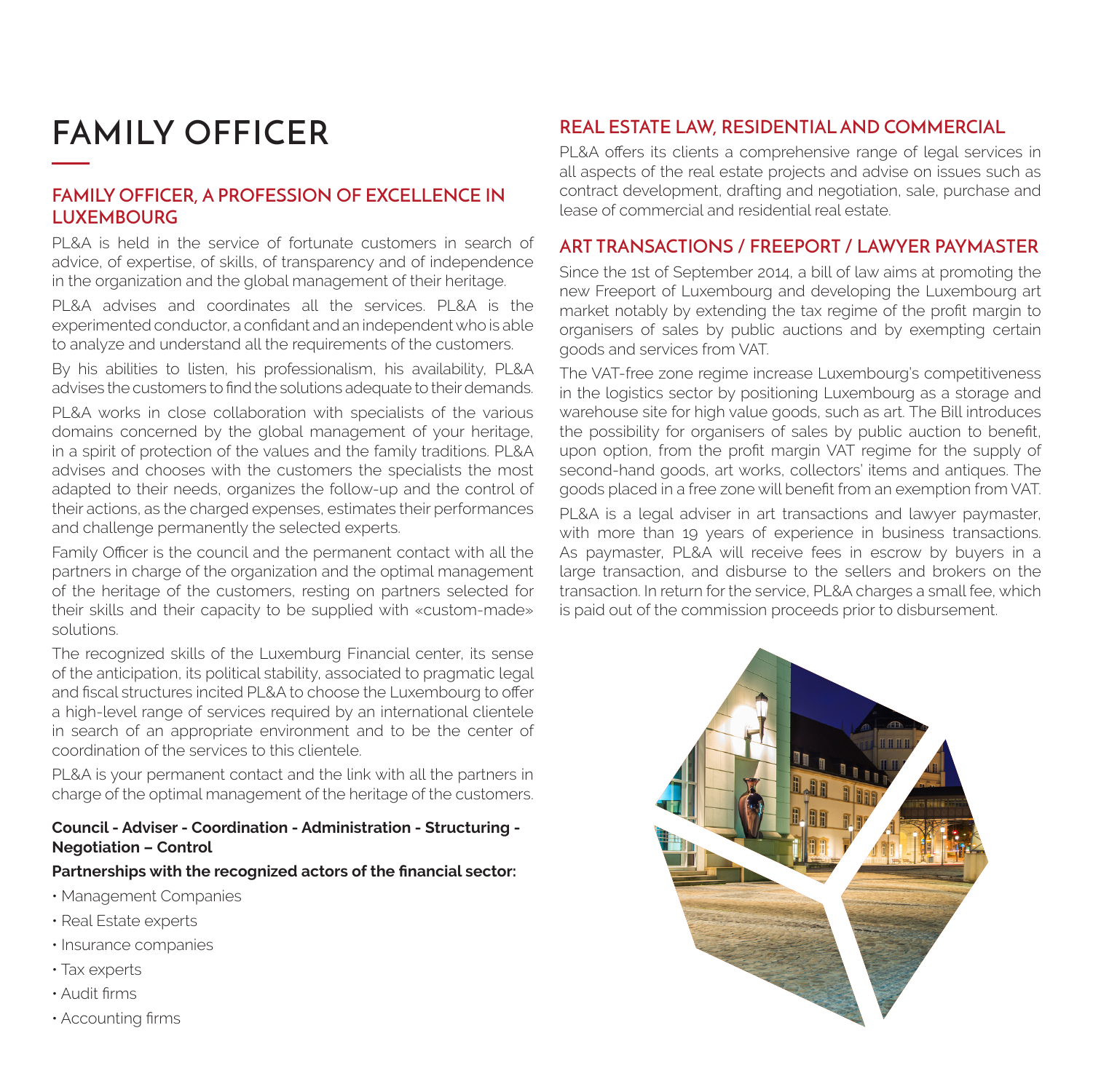# **FAMILY OFFICER**

## **FAMILY OFFICER, A PROFESSION OF EXCELLENCE IN LUXEMBOURG**

PL&A is held in the service of fortunate customers in search of advice, of expertise, of skills, of transparency and of independence in the organization and the global management of their heritage.

PL&A advises and coordinates all the services. PL&A is the experimented conductor, a confidant and an independent who is able to analyze and understand all the requirements of the customers.

By his abilities to listen, his professionalism, his availability, PL&A advises the customers to find the solutions adequate to their demands.

PL&A works in close collaboration with specialists of the various domains concerned by the global management of your heritage, in a spirit of protection of the values and the family traditions. PL&A advises and chooses with the customers the specialists the most adapted to their needs, organizes the follow-up and the control of their actions, as the charged expenses, estimates their performances and challenge permanently the selected experts.

Family Officer is the council and the permanent contact with all the partners in charge of the organization and the optimal management of the heritage of the customers, resting on partners selected for their skills and their capacity to be supplied with «custom-made» solutions.

The recognized skills of the Luxemburg Financial center, its sense of the anticipation, its political stability, associated to pragmatic legal and fiscal structures incited PL&A to choose the Luxembourg to offer a high-level range of services required by an international clientele in search of an appropriate environment and to be the center of coordination of the services to this clientele.

PL&A is your permanent contact and the link with all the partners in charge of the optimal management of the heritage of the customers.

#### **Council - Adviser - Coordination - Administration - Structuring - Negotiation – Control**

#### **Partnerships with the recognized actors of the financial sector:**

- Management Companies
- Real Estate experts
- Insurance companies
- Tax experts
- Audit firms
- Accounting firms

## **REAL ESTATE LAW, RESIDENTIAL AND COMMERCIAL**

PL&A offers its clients a comprehensive range of legal services in all aspects of the real estate projects and advise on issues such as contract development, drafting and negotiation, sale, purchase and lease of commercial and residential real estate.

### **ART TRANSACTIONS / FREEPORT / LAWYER PAYMASTER**

Since the 1st of September 2014, a bill of law aims at promoting the new Freeport of Luxembourg and developing the Luxembourg art market notably by extending the tax regime of the profit margin to organisers of sales by public auctions and by exempting certain goods and services from VAT.

The VAT-free zone regime increase Luxembourg's competitiveness in the logistics sector by positioning Luxembourg as a storage and warehouse site for high value goods, such as art. The Bill introduces the possibility for organisers of sales by public auction to benefit, upon option, from the profit margin VAT regime for the supply of second-hand goods, art works, collectors' items and antiques. The goods placed in a free zone will benefit from an exemption from VAT.

PL&A is a legal adviser in art transactions and lawyer paymaster, with more than 19 years of experience in business transactions. As paymaster, PL&A will receive fees in escrow by buyers in a large transaction, and disburse to the sellers and brokers on the transaction. In return for the service, PL&A charges a small fee, which is paid out of the commission proceeds prior to disbursement.